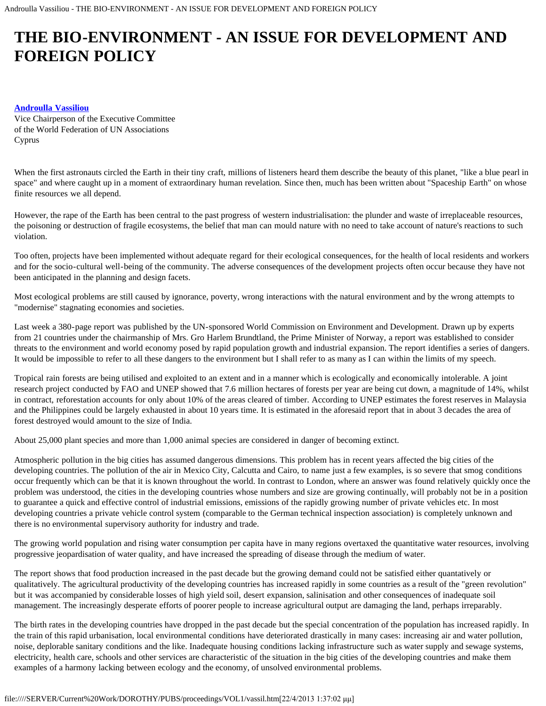# **THE BIO-ENVIRONMENT - AN ISSUE FOR DEVELOPMENT AND FOREIGN POLICY**

### **[Androulla Vassiliou](#page-2-0)**

Vice Chairperson of the Executive Committee of the World Federation of UN Associations Cyprus

When the first astronauts circled the Earth in their tiny craft, millions of listeners heard them describe the beauty of this planet, "like a blue pearl in space" and where caught up in a moment of extraordinary human revelation. Since then, much has been written about "Spaceship Earth" on whose finite resources we all depend.

However, the rape of the Earth has been central to the past progress of western industrialisation: the plunder and waste of irreplaceable resources, the poisoning or destruction of fragile ecosystems, the belief that man can mould nature with no need to take account of nature's reactions to such violation.

Too often, projects have been implemented without adequate regard for their ecological consequences, for the health of local residents and workers and for the socio-cultural well-being of the community. The adverse consequences of the development projects often occur because they have not been anticipated in the planning and design facets.

Most ecological problems are still caused by ignorance, poverty, wrong interactions with the natural environment and by the wrong attempts to "modernise" stagnating economies and societies.

Last week a 380-page report was published by the UN-sponsored World Commission on Environment and Development. Drawn up by experts from 21 countries under the chairmanship of Mrs. Gro Harlem Brundtland, the Prime Minister of Norway, a report was established to consider threats to the environment and world economy posed by rapid population growth and industrial expansion. The report identifies a series of dangers. It would be impossible to refer to all these dangers to the environment but I shall refer to as many as I can within the limits of my speech.

Tropical rain forests are being utilised and exploited to an extent and in a manner which is ecologically and economically intolerable. A joint research project conducted by FAO and UNEP showed that 7.6 million hectares of forests per year are being cut down, a magnitude of 14%, whilst in contract, reforestation accounts for only about 10% of the areas cleared of timber. According to UNEP estimates the forest reserves in Malaysia and the Philippines could be largely exhausted in about 10 years time. It is estimated in the aforesaid report that in about 3 decades the area of forest destroyed would amount to the size of India.

About 25,000 plant species and more than 1,000 animal species are considered in danger of becoming extinct.

Atmospheric pollution in the big cities has assumed dangerous dimensions. This problem has in recent years affected the big cities of the developing countries. The pollution of the air in Mexico City, Calcutta and Cairo, to name just a few examples, is so severe that smog conditions occur frequently which can be that it is known throughout the world. In contrast to London, where an answer was found relatively quickly once the problem was understood, the cities in the developing countries whose numbers and size are growing continually, will probably not be in a position to guarantee a quick and effective control of industrial emissions, emissions of the rapidly growing number of private vehicles etc. In most developing countries a private vehicle control system (comparable to the German technical inspection association) is completely unknown and there is no environmental supervisory authority for industry and trade.

The growing world population and rising water consumption per capita have in many regions overtaxed the quantitative water resources, involving progressive jeopardisation of water quality, and have increased the spreading of disease through the medium of water.

The report shows that food production increased in the past decade but the growing demand could not be satisfied either quantatively or qualitatively. The agricultural productivity of the developing countries has increased rapidly in some countries as a result of the "green revolution" but it was accompanied by considerable losses of high yield soil, desert expansion, salinisation and other consequences of inadequate soil management. The increasingly desperate efforts of poorer people to increase agricultural output are damaging the land, perhaps irreparably.

The birth rates in the developing countries have dropped in the past decade but the special concentration of the population has increased rapidly. In the train of this rapid urbanisation, local environmental conditions have deteriorated drastically in many cases: increasing air and water pollution, noise, deplorable sanitary conditions and the like. Inadequate housing conditions lacking infrastructure such as water supply and sewage systems, electricity, health care, schools and other services are characteristic of the situation in the big cities of the developing countries and make them examples of a harmony lacking between ecology and the economy, of unsolved environmental problems.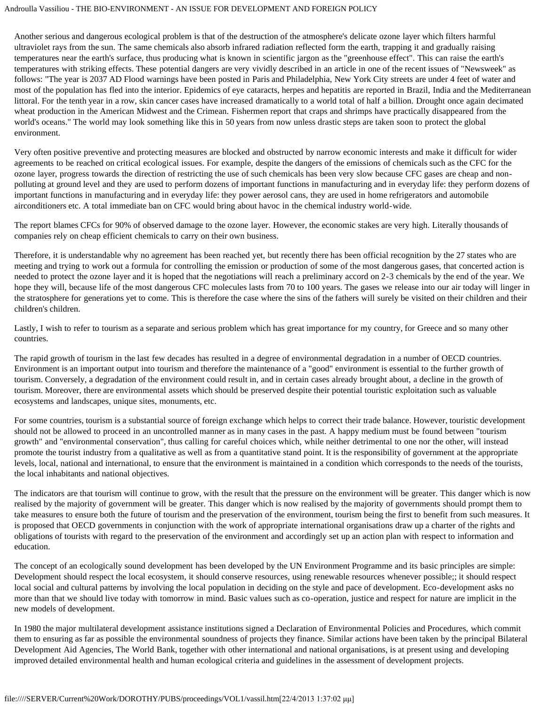#### Androulla Vassiliou - THE BIO-ENVIRONMENT - AN ISSUE FOR DEVELOPMENT AND FOREIGN POLICY

Another serious and dangerous ecological problem is that of the destruction of the atmosphere's delicate ozone layer which filters harmful ultraviolet rays from the sun. The same chemicals also absorb infrared radiation reflected form the earth, trapping it and gradually raising temperatures near the earth's surface, thus producing what is known in scientific jargon as the "greenhouse effect". This can raise the earth's temperatures with striking effects. These potential dangers are very vividly described in an article in one of the recent issues of "Newsweek" as follows: "The year is 2037 AD Flood warnings have been posted in Paris and Philadelphia, New York City streets are under 4 feet of water and most of the population has fled into the interior. Epidemics of eye cataracts, herpes and hepatitis are reported in Brazil, India and the Mediterranean littoral. For the tenth year in a row, skin cancer cases have increased dramatically to a world total of half a billion. Drought once again decimated wheat production in the American Midwest and the Crimean. Fishermen report that craps and shrimps have practically disappeared from the world's oceans." The world may look something like this in 50 years from now unless drastic steps are taken soon to protect the global environment.

Very often positive preventive and protecting measures are blocked and obstructed by narrow economic interests and make it difficult for wider agreements to be reached on critical ecological issues. For example, despite the dangers of the emissions of chemicals such as the CFC for the ozone layer, progress towards the direction of restricting the use of such chemicals has been very slow because CFC gases are cheap and nonpolluting at ground level and they are used to perform dozens of important functions in manufacturing and in everyday life: they perform dozens of important functions in manufacturing and in everyday life: they power aerosol cans, they are used in home refrigerators and automobile airconditioners etc. A total immediate ban on CFC would bring about havoc in the chemical industry world-wide.

The report blames CFCs for 90% of observed damage to the ozone layer. However, the economic stakes are very high. Literally thousands of companies rely on cheap efficient chemicals to carry on their own business.

Therefore, it is understandable why no agreement has been reached yet, but recently there has been official recognition by the 27 states who are meeting and trying to work out a formula for controlling the emission or production of some of the most dangerous gases, that concerted action is needed to protect the ozone layer and it is hoped that the negotiations will reach a preliminary accord on 2-3 chemicals by the end of the year. We hope they will, because life of the most dangerous CFC molecules lasts from 70 to 100 years. The gases we release into our air today will linger in the stratosphere for generations yet to come. This is therefore the case where the sins of the fathers will surely be visited on their children and their children's children.

Lastly, I wish to refer to tourism as a separate and serious problem which has great importance for my country, for Greece and so many other countries.

The rapid growth of tourism in the last few decades has resulted in a degree of environmental degradation in a number of OECD countries. Environment is an important output into tourism and therefore the maintenance of a "good" environment is essential to the further growth of tourism. Conversely, a degradation of the environment could result in, and in certain cases already brought about, a decline in the growth of tourism. Moreover, there are environmental assets which should be preserved despite their potential touristic exploitation such as valuable ecosystems and landscapes, unique sites, monuments, etc.

For some countries, tourism is a substantial source of foreign exchange which helps to correct their trade balance. However, touristic development should not be allowed to proceed in an uncontrolled manner as in many cases in the past. A happy medium must be found between "tourism growth" and "environmental conservation", thus calling for careful choices which, while neither detrimental to one nor the other, will instead promote the tourist industry from a qualitative as well as from a quantitative stand point. It is the responsibility of government at the appropriate levels, local, national and international, to ensure that the environment is maintained in a condition which corresponds to the needs of the tourists, the local inhabitants and national objectives.

The indicators are that tourism will continue to grow, with the result that the pressure on the environment will be greater. This danger which is now realised by the majority of government will be greater. This danger which is now realised by the majority of governments should prompt them to take measures to ensure both the future of tourism and the preservation of the environment, tourism being the first to benefit from such measures. It is proposed that OECD governments in conjunction with the work of appropriate international organisations draw up a charter of the rights and obligations of tourists with regard to the preservation of the environment and accordingly set up an action plan with respect to information and education.

The concept of an ecologically sound development has been developed by the UN Environment Programme and its basic principles are simple: Development should respect the local ecosystem, it should conserve resources, using renewable resources whenever possible;; it should respect local social and cultural patterns by involving the local population in deciding on the style and pace of development. Eco-development asks no more than that we should live today with tomorrow in mind. Basic values such as co-operation, justice and respect for nature are implicit in the new models of development.

In 1980 the major multilateral development assistance institutions signed a Declaration of Environmental Policies and Procedures, which commit them to ensuring as far as possible the environmental soundness of projects they finance. Similar actions have been taken by the principal Bilateral Development Aid Agencies, The World Bank, together with other international and national organisations, is at present using and developing improved detailed environmental health and human ecological criteria and guidelines in the assessment of development projects.